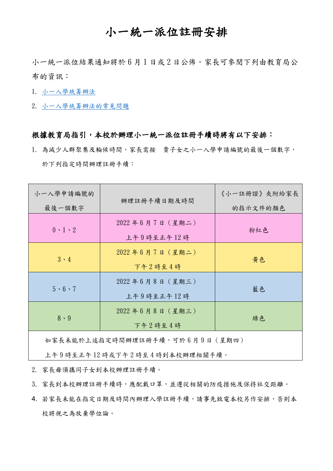## 小一統一派位註冊安排

小一統一派位結果通知將於 6 月 1 日或 2 日公佈。家長可參閱下列由教育局公 布的資訊:

- 1. [小一入學統籌辦法](https://www.edb.gov.hk/tc/edu-system/primary-secondary/spa-systems/primary-1-admission/index.html)
- 2. [小一入學統籌辦法的常見問題](https://www.edb.gov.hk/attachment/tc/edu-system/primary-secondary/spa-systems/primary-1-admission/FAQ_POA2022_TC.pdf)

## 根據教育局指引,本校於辦理小一統一派位註冊手續時將有以下安排:

1. 為減少人群聚集及輪候時間,家長需按 貴子女之小一入學申請編號的最後一個數字, 於下列指定時間辦理註冊手續:

| 小一入學申請編號的<br>最後一個數字 | 辦理註冊手續日期及時間                          | 《小一註冊證》夾附給家長<br>的指示文件的顏色 |
|---------------------|--------------------------------------|--------------------------|
| $0 \cdot 1 \cdot 2$ | $2022$ 年 6 月 7 日 (星期二)<br>上午9時至正午12時 | 粉紅色                      |
| $3 \cdot 4$         | $2022$ 年 6 月 7 日 (星期二)<br>下午2時至4時    | 黄色                       |
| $5 \cdot 6 \cdot 7$ | $2022$ 年 6 月 8 日 (星期三)<br>上午9時至正午12時 | 藍色                       |
| $8 \cdot 9$         | 2022年6月8日 (星期三)<br>下午2時至4時           | 綠色                       |
|                     |                                      |                          |

如家長未能於上述指定時間辦理註冊手續,可於 6 月 9 日(星期四)

上午 9 時至正午 12 時或下午 2 時至 4 時到本校辦理相關手續。

2. 家長毋須攜同子女到本校辦理註冊手續。

3. 家長到本校辦理註冊手續時,應配戴口罩,並遵從相關的防疫措施及保持社交距離。

4. 若家長未能在指定日期及時間內辦理入學註冊手續,請事先致電本校另作安排,否則本 校將視之為放棄學位論。